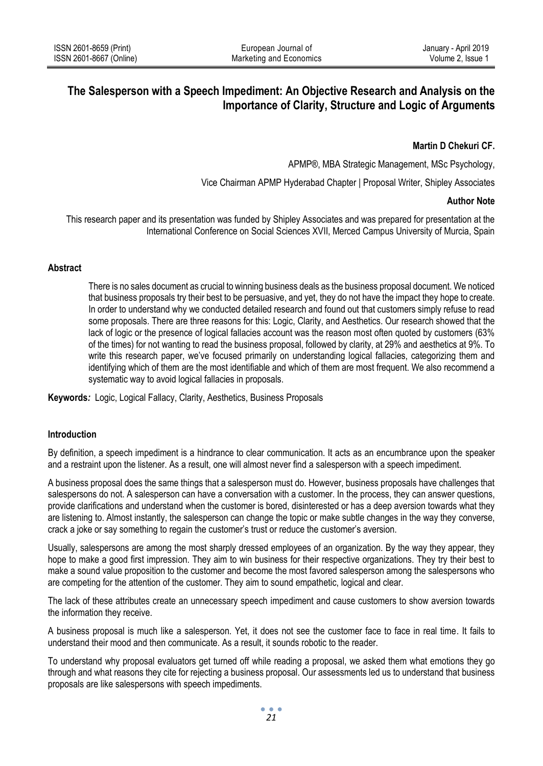# **The Salesperson with a Speech Impediment: An Objective Research and Analysis on the Importance of Clarity, Structure and Logic of Arguments**

# **Martin D Chekuri CF.**

APMP®, MBA Strategic Management, MSc Psychology,

Vice Chairman APMP Hyderabad Chapter | Proposal Writer, Shipley Associates

### **Author Note**

This research paper and its presentation was funded by Shipley Associates and was prepared for presentation at the International Conference on Social Sciences XVII, Merced Campus University of Murcia, Spain

### **Abstract**

There is no sales document as crucial to winning business deals as the business proposal document. We noticed that business proposals try their best to be persuasive, and yet, they do not have the impact they hope to create. In order to understand why we conducted detailed research and found out that customers simply refuse to read some proposals. There are three reasons for this: Logic, Clarity, and Aesthetics. Our research showed that the lack of logic or the presence of logical fallacies account was the reason most often quoted by customers (63% of the times) for not wanting to read the business proposal, followed by clarity, at 29% and aesthetics at 9%. To write this research paper, we've focused primarily on understanding logical fallacies, categorizing them and identifying which of them are the most identifiable and which of them are most frequent. We also recommend a systematic way to avoid logical fallacies in proposals.

**Keywords***:* Logic, Logical Fallacy, Clarity, Aesthetics, Business Proposals

# **Introduction**

By definition, a speech impediment is a hindrance to clear communication. It acts as an encumbrance upon the speaker and a restraint upon the listener. As a result, one will almost never find a salesperson with a speech impediment.

A business proposal does the same things that a salesperson must do. However, business proposals have challenges that salespersons do not. A salesperson can have a conversation with a customer. In the process, they can answer questions, provide clarifications and understand when the customer is bored, disinterested or has a deep aversion towards what they are listening to. Almost instantly, the salesperson can change the topic or make subtle changes in the way they converse, crack a joke or say something to regain the customer's trust or reduce the customer's aversion.

Usually, salespersons are among the most sharply dressed employees of an organization. By the way they appear, they hope to make a good first impression. They aim to win business for their respective organizations. They try their best to make a sound value proposition to the customer and become the most favored salesperson among the salespersons who are competing for the attention of the customer. They aim to sound empathetic, logical and clear.

The lack of these attributes create an unnecessary speech impediment and cause customers to show aversion towards the information they receive.

A business proposal is much like a salesperson. Yet, it does not see the customer face to face in real time. It fails to understand their mood and then communicate. As a result, it sounds robotic to the reader.

To understand why proposal evaluators get turned off while reading a proposal, we asked them what emotions they go through and what reasons they cite for rejecting a business proposal. Our assessments led us to understand that business proposals are like salespersons with speech impediments.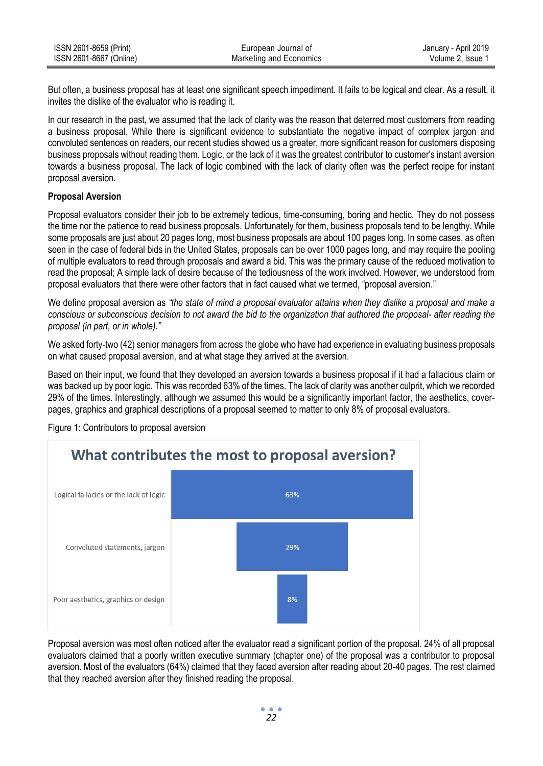| ISSN 2601-8659 (Print)  | European Journal of     | January - April 2019 |
|-------------------------|-------------------------|----------------------|
| ISSN 2601-8667 (Online) | Marketing and Economics | Volume 2. Issue 1    |

But often, a business proposal has at least one significant speech impediment. It fails to be logical and clear. As a result, it invites the dislike of the evaluator who is reading it.

In our research in the past, we assumed that the lack of clarity was the reason that deterred most customers from reading a business proposal. While there is significant evidence to substantiate the negative impact of complex jargon and convoluted sentences on readers, our recent studies showed us a greater, more significant reason for customers disposing business proposals without reading them. Logic, or the lack of it was the greatest contributor to customer's instant aversion towards a business proposal. The lack of logic combined with the lack of clarity often was the perfect recipe for instant proposal aversion.

## **Proposal Aversion**

Proposal evaluators consider their job to be extremely tedious, time-consuming, boring and hectic. They do not possess the time nor the patience to read business proposals. Unfortunately for them, business proposals tend to be lengthy. While some proposals are just about 20 pages long, most business proposals are about 100 pages long. In some cases, as often seen in the case of federal bids in the United States, proposals can be over 1000 pages long, and may require the pooling of multiple evaluators to read through proposals and award a bid. This was the primary cause of the reduced motivation to read the proposal; A simple lack of desire because of the tediousness of the work involved. However, we understood from proposal evaluators that there were other factors that in fact caused what we termed, "proposal aversion."

We define proposal aversion as *"the state of mind a proposal evaluator attains when they dislike a proposal and make a conscious or subconscious decision to not award the bid to the organization that authored the proposal- after reading the proposal (in part, or in whole)."*

We asked forty-two (42) senior managers from across the globe who have had experience in evaluating business proposals on what caused proposal aversion, and at what stage they arrived at the aversion.

Based on their input, we found that they developed an aversion towards a business proposal if it had a fallacious claim or was backed up by poor logic. This was recorded 63% of the times. The lack of clarity was another culprit, which we recorded 29% of the times. Interestingly, although we assumed this would be a significantly important factor, the aesthetics, coverpages, graphics and graphical descriptions of a proposal seemed to matter to only 8% of proposal evaluators.



Figure 1: Contributors to proposal aversion

Proposal aversion was most often noticed after the evaluator read a significant portion of the proposal. 24% of all proposal evaluators claimed that a poorly written executive summary (chapter one) of the proposal was a contributor to proposal aversion. Most of the evaluators (64%) claimed that they faced aversion after reading about 20-40 pages. The rest claimed that they reached aversion after they finished reading the proposal.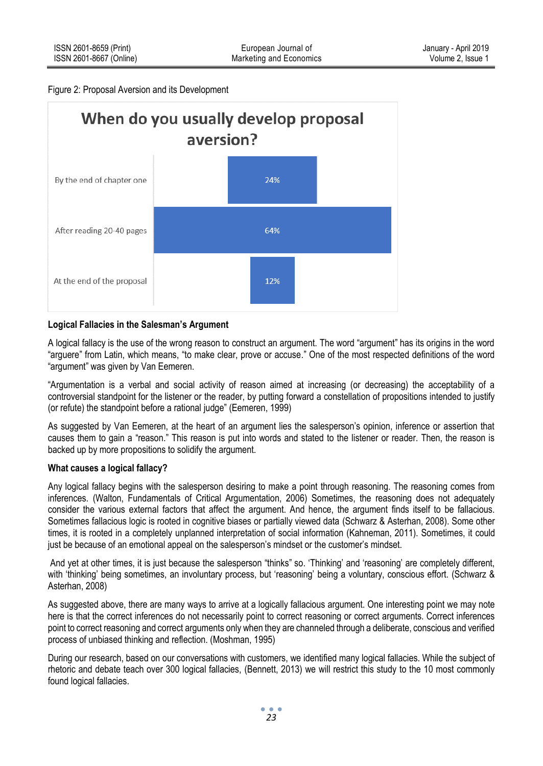#### Figure 2: Proposal Aversion and its Development



## **Logical Fallacies in the Salesman's Argument**

A logical fallacy is the use of the wrong reason to construct an argument. The word "argument" has its origins in the word "arguere" from Latin, which means, "to make clear, prove or accuse." One of the most respected definitions of the word "argument" was given by Van Eemeren.

"Argumentation is a verbal and social activity of reason aimed at increasing (or decreasing) the acceptability of a controversial standpoint for the listener or the reader, by putting forward a constellation of propositions intended to justify (or refute) the standpoint before a rational judge" (Eemeren, 1999)

As suggested by Van Eemeren, at the heart of an argument lies the salesperson's opinion, inference or assertion that causes them to gain a "reason." This reason is put into words and stated to the listener or reader. Then, the reason is backed up by more propositions to solidify the argument.

### **What causes a logical fallacy?**

Any logical fallacy begins with the salesperson desiring to make a point through reasoning. The reasoning comes from inferences. (Walton, Fundamentals of Critical Argumentation, 2006) Sometimes, the reasoning does not adequately consider the various external factors that affect the argument. And hence, the argument finds itself to be fallacious. Sometimes fallacious logic is rooted in cognitive biases or partially viewed data (Schwarz & Asterhan, 2008). Some other times, it is rooted in a completely unplanned interpretation of social information (Kahneman, 2011). Sometimes, it could just be because of an emotional appeal on the salesperson's mindset or the customer's mindset.

And yet at other times, it is just because the salesperson "thinks" so. 'Thinking' and 'reasoning' are completely different, with 'thinking' being sometimes, an involuntary process, but 'reasoning' being a voluntary, conscious effort. (Schwarz & Asterhan, 2008)

As suggested above, there are many ways to arrive at a logically fallacious argument. One interesting point we may note here is that the correct inferences do not necessarily point to correct reasoning or correct arguments. Correct inferences point to correct reasoning and correct arguments only when they are channeled through a deliberate, conscious and verified process of unbiased thinking and reflection. (Moshman, 1995)

During our research, based on our conversations with customers, we identified many logical fallacies. While the subject of rhetoric and debate teach over 300 logical fallacies, (Bennett, 2013) we will restrict this study to the 10 most commonly found logical fallacies.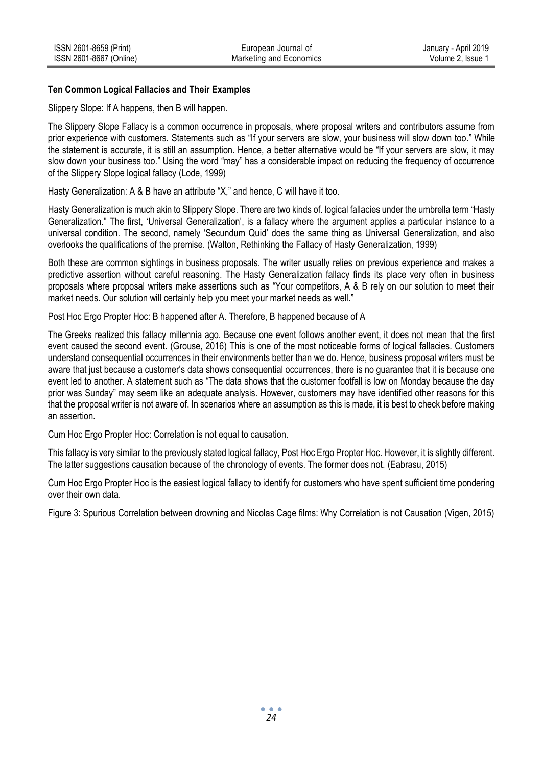## **Ten Common Logical Fallacies and Their Examples**

Slippery Slope: If A happens, then B will happen.

The Slippery Slope Fallacy is a common occurrence in proposals, where proposal writers and contributors assume from prior experience with customers. Statements such as "If your servers are slow, your business will slow down too." While the statement is accurate, it is still an assumption. Hence, a better alternative would be "If your servers are slow, it may slow down your business too." Using the word "may" has a considerable impact on reducing the frequency of occurrence of the Slippery Slope logical fallacy (Lode, 1999)

Hasty Generalization: A & B have an attribute "X," and hence, C will have it too.

Hasty Generalization is much akin to Slippery Slope. There are two kinds of. logical fallacies under the umbrella term "Hasty Generalization." The first, 'Universal Generalization', is a fallacy where the argument applies a particular instance to a universal condition. The second, namely 'Secundum Quid' does the same thing as Universal Generalization, and also overlooks the qualifications of the premise. (Walton, Rethinking the Fallacy of Hasty Generalization, 1999)

Both these are common sightings in business proposals. The writer usually relies on previous experience and makes a predictive assertion without careful reasoning. The Hasty Generalization fallacy finds its place very often in business proposals where proposal writers make assertions such as "Your competitors, A & B rely on our solution to meet their market needs. Our solution will certainly help you meet your market needs as well."

Post Hoc Ergo Propter Hoc: B happened after A. Therefore, B happened because of A

The Greeks realized this fallacy millennia ago. Because one event follows another event, it does not mean that the first event caused the second event. (Grouse, 2016) This is one of the most noticeable forms of logical fallacies. Customers understand consequential occurrences in their environments better than we do. Hence, business proposal writers must be aware that just because a customer's data shows consequential occurrences, there is no guarantee that it is because one event led to another. A statement such as "The data shows that the customer footfall is low on Monday because the day prior was Sunday" may seem like an adequate analysis. However, customers may have identified other reasons for this that the proposal writer is not aware of. In scenarios where an assumption as this is made, it is best to check before making an assertion.

Cum Hoc Ergo Propter Hoc: Correlation is not equal to causation.

This fallacy is very similar to the previously stated logical fallacy, Post Hoc Ergo Propter Hoc. However, it is slightly different. The latter suggestions causation because of the chronology of events. The former does not. (Eabrasu, 2015)

Cum Hoc Ergo Propter Hoc is the easiest logical fallacy to identify for customers who have spent sufficient time pondering over their own data.

Figure 3: Spurious Correlation between drowning and Nicolas Cage films: Why Correlation is not Causation (Vigen, 2015)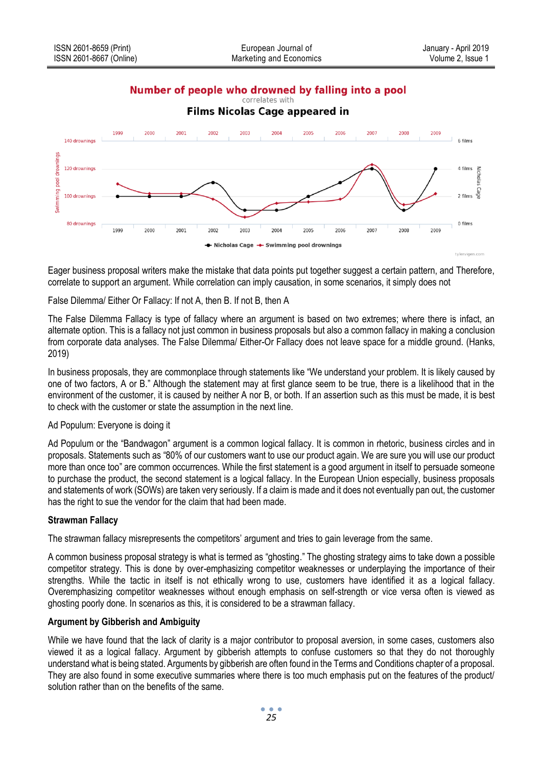# Number of people who drowned by falling into a pool



Eager business proposal writers make the mistake that data points put together suggest a certain pattern, and Therefore, correlate to support an argument. While correlation can imply causation, in some scenarios, it simply does not

False Dilemma/ Either Or Fallacy: If not A, then B. If not B, then A

The False Dilemma Fallacy is type of fallacy where an argument is based on two extremes; where there is infact, an alternate option. This is a fallacy not just common in business proposals but also a common fallacy in making a conclusion from corporate data analyses. The False Dilemma/ Either-Or Fallacy does not leave space for a middle ground. (Hanks, 2019)

In business proposals, they are commonplace through statements like "We understand your problem. It is likely caused by one of two factors, A or B." Although the statement may at first glance seem to be true, there is a likelihood that in the environment of the customer, it is caused by neither A nor B, or both. If an assertion such as this must be made, it is best to check with the customer or state the assumption in the next line.

## Ad Populum: Everyone is doing it

Ad Populum or the "Bandwagon" argument is a common logical fallacy. It is common in rhetoric, business circles and in proposals. Statements such as "80% of our customers want to use our product again. We are sure you will use our product more than once too" are common occurrences. While the first statement is a good argument in itself to persuade someone to purchase the product, the second statement is a logical fallacy. In the European Union especially, business proposals and statements of work (SOWs) are taken very seriously. If a claim is made and it does not eventually pan out, the customer has the right to sue the vendor for the claim that had been made.

# **Strawman Fallacy**

The strawman fallacy misrepresents the competitors' argument and tries to gain leverage from the same.

A common business proposal strategy is what is termed as "ghosting." The ghosting strategy aims to take down a possible competitor strategy. This is done by over-emphasizing competitor weaknesses or underplaying the importance of their strengths. While the tactic in itself is not ethically wrong to use, customers have identified it as a logical fallacy. Overemphasizing competitor weaknesses without enough emphasis on self-strength or vice versa often is viewed as ghosting poorly done. In scenarios as this, it is considered to be a strawman fallacy.

## **Argument by Gibberish and Ambiguity**

While we have found that the lack of clarity is a major contributor to proposal aversion, in some cases, customers also viewed it as a logical fallacy. Argument by gibberish attempts to confuse customers so that they do not thoroughly understand what is being stated. Arguments by gibberish are often found in the Terms and Conditions chapter of a proposal. They are also found in some executive summaries where there is too much emphasis put on the features of the product/ solution rather than on the benefits of the same.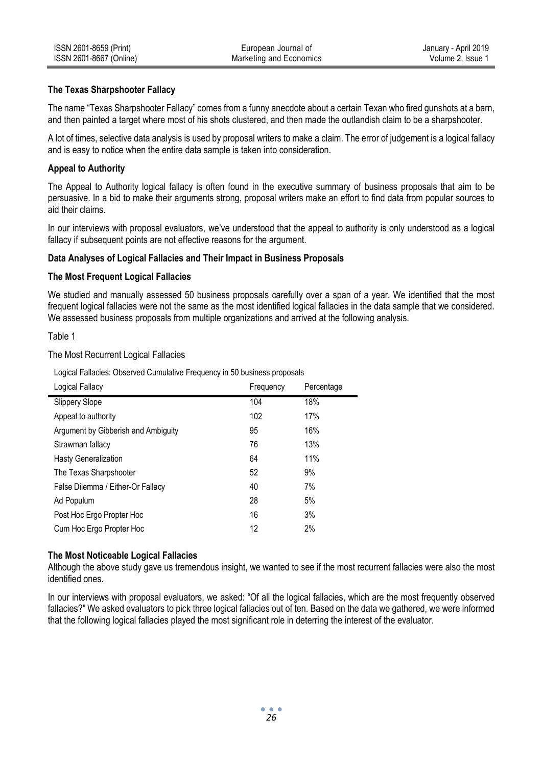## **The Texas Sharpshooter Fallacy**

The name "Texas Sharpshooter Fallacy" comes from a funny anecdote about a certain Texan who fired gunshots at a barn, and then painted a target where most of his shots clustered, and then made the outlandish claim to be a sharpshooter.

A lot of times, selective data analysis is used by proposal writers to make a claim. The error of judgement is a logical fallacy and is easy to notice when the entire data sample is taken into consideration.

## **Appeal to Authority**

The Appeal to Authority logical fallacy is often found in the executive summary of business proposals that aim to be persuasive. In a bid to make their arguments strong, proposal writers make an effort to find data from popular sources to aid their claims.

In our interviews with proposal evaluators, we've understood that the appeal to authority is only understood as a logical fallacy if subsequent points are not effective reasons for the argument.

## **Data Analyses of Logical Fallacies and Their Impact in Business Proposals**

### **The Most Frequent Logical Fallacies**

We studied and manually assessed 50 business proposals carefully over a span of a year. We identified that the most frequent logical fallacies were not the same as the most identified logical fallacies in the data sample that we considered. We assessed business proposals from multiple organizations and arrived at the following analysis.

### Table 1

The Most Recurrent Logical Fallacies

Logical Fallacies: Observed Cumulative Frequency in 50 business proposals

| Logical Fallacy                     | Frequency | Percentage |
|-------------------------------------|-----------|------------|
| Slippery Slope                      | 104       | 18%        |
| Appeal to authority                 | 102       | 17%        |
| Argument by Gibberish and Ambiguity | 95        | 16%        |
| Strawman fallacy                    | 76        | 13%        |
| <b>Hasty Generalization</b>         | 64        | 11%        |
| The Texas Sharpshooter              | 52        | 9%         |
| False Dilemma / Either-Or Fallacy   | 40        | 7%         |
| Ad Populum                          | 28        | 5%         |
| Post Hoc Ergo Propter Hoc           | 16        | 3%         |
| Cum Hoc Ergo Propter Hoc            | 12        | 2%         |
|                                     |           |            |

### **The Most Noticeable Logical Fallacies**

Although the above study gave us tremendous insight, we wanted to see if the most recurrent fallacies were also the most identified ones.

In our interviews with proposal evaluators, we asked: "Of all the logical fallacies, which are the most frequently observed fallacies?" We asked evaluators to pick three logical fallacies out of ten. Based on the data we gathered, we were informed that the following logical fallacies played the most significant role in deterring the interest of the evaluator.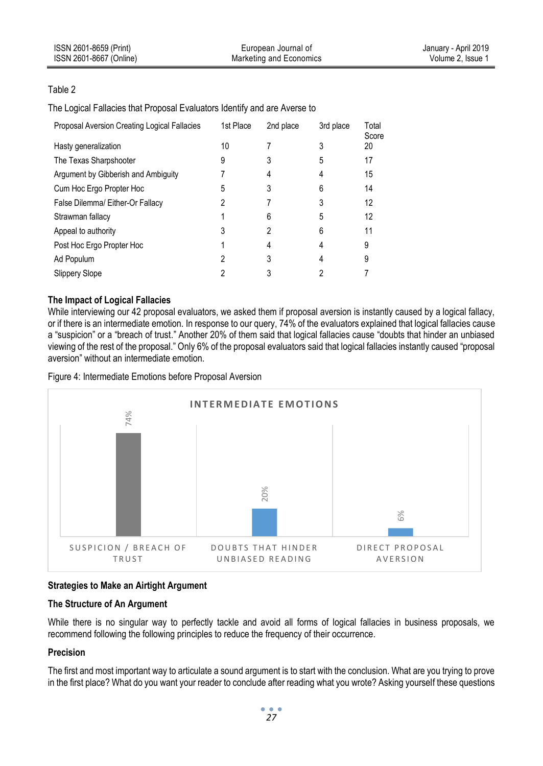| ISSN 2601-8659 (Print)  | European Journal of     | January - April 2019 |
|-------------------------|-------------------------|----------------------|
| ISSN 2601-8667 (Online) | Marketing and Economics | Volume 2. Issue 1    |

# Table 2

The Logical Fallacies that Proposal Evaluators Identify and are Averse to

| Proposal Aversion Creating Logical Fallacies | 1st Place | 2nd place | 3rd place | Total<br>Score |
|----------------------------------------------|-----------|-----------|-----------|----------------|
| Hasty generalization                         | 10        |           | 3         | 20             |
| The Texas Sharpshooter                       | 9         | 3         | 5         | 17             |
| Argument by Gibberish and Ambiguity          |           | 4         | 4         | 15             |
| Cum Hoc Ergo Propter Hoc                     | 5         | 3         | 6         | 14             |
| False Dilemma/ Either-Or Fallacy             | 2         |           |           | 12             |
| Strawman fallacy                             |           | 6         | 5         | 12             |
| Appeal to authority                          | 3         | 2         | 6         | 11             |
| Post Hoc Ergo Propter Hoc                    |           |           | 4         | 9              |
| Ad Populum                                   | 2         | 3         | 4         | 9              |
| Slippery Slope                               |           |           |           |                |
|                                              |           |           |           |                |

## **The Impact of Logical Fallacies**

While interviewing our 42 proposal evaluators, we asked them if proposal aversion is instantly caused by a logical fallacy, or if there is an intermediate emotion. In response to our query, 74% of the evaluators explained that logical fallacies cause a "suspicion" or a "breach of trust." Another 20% of them said that logical fallacies cause "doubts that hinder an unbiased viewing of the rest of the proposal." Only 6% of the proposal evaluators said that logical fallacies instantly caused "proposal aversion" without an intermediate emotion.

Figure 4: Intermediate Emotions before Proposal Aversion



# **Strategies to Make an Airtight Argument**

### **The Structure of An Argument**

While there is no singular way to perfectly tackle and avoid all forms of logical fallacies in business proposals, we recommend following the following principles to reduce the frequency of their occurrence.

### **Precision**

The first and most important way to articulate a sound argument is to start with the conclusion. What are you trying to prove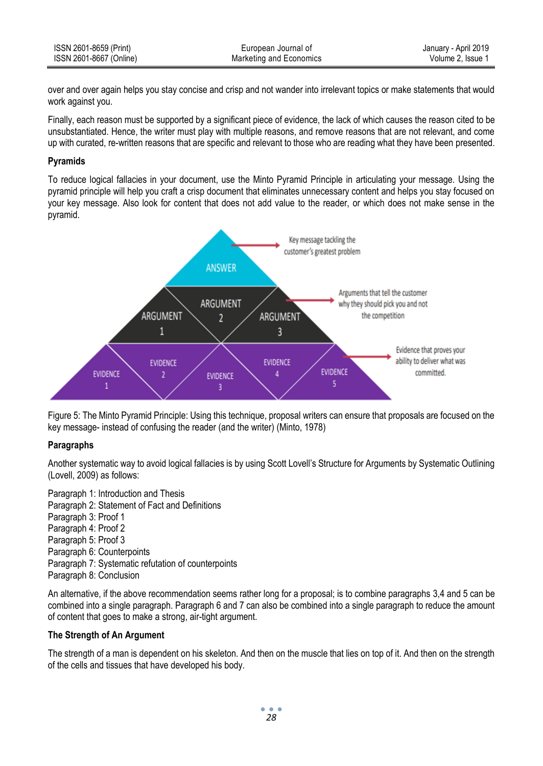| ISSN 2601-8659 (Print)  | European Journal of     | January - April 2019 |
|-------------------------|-------------------------|----------------------|
| ISSN 2601-8667 (Online) | Marketing and Economics | Volume 2. Issue 1    |

over and over again helps you stay concise and crisp and not wander into irrelevant topics or make statements that would work against you.

Finally, each reason must be supported by a significant piece of evidence, the lack of which causes the reason cited to be unsubstantiated. Hence, the writer must play with multiple reasons, and remove reasons that are not relevant, and come up with curated, re-written reasons that are specific and relevant to those who are reading what they have been presented.

## **Pyramids**

To reduce logical fallacies in your document, use the Minto Pyramid Principle in articulating your message. Using the pyramid principle will help you craft a crisp document that eliminates unnecessary content and helps you stay focused on your key message. Also look for content that does not add value to the reader, or which does not make sense in the pyramid.



Figure 5: The Minto Pyramid Principle: Using this technique, proposal writers can ensure that proposals are focused on the key message- instead of confusing the reader (and the writer) (Minto, 1978)

### **Paragraphs**

Another systematic way to avoid logical fallacies is by using Scott Lovell's Structure for Arguments by Systematic Outlining (Lovell, 2009) as follows:

Paragraph 1: Introduction and Thesis Paragraph 2: Statement of Fact and Definitions Paragraph 3: Proof 1 Paragraph 4: Proof 2 Paragraph 5: Proof 3 Paragraph 6: Counterpoints Paragraph 7: Systematic refutation of counterpoints Paragraph 8: Conclusion

An alternative, if the above recommendation seems rather long for a proposal; is to combine paragraphs 3,4 and 5 can be combined into a single paragraph. Paragraph 6 and 7 can also be combined into a single paragraph to reduce the amount of content that goes to make a strong, air-tight argument.

### **The Strength of An Argument**

The strength of a man is dependent on his skeleton. And then on the muscle that lies on top of it. And then on the strength of the cells and tissues that have developed his body.

> $\bullet$   $\bullet$ *28*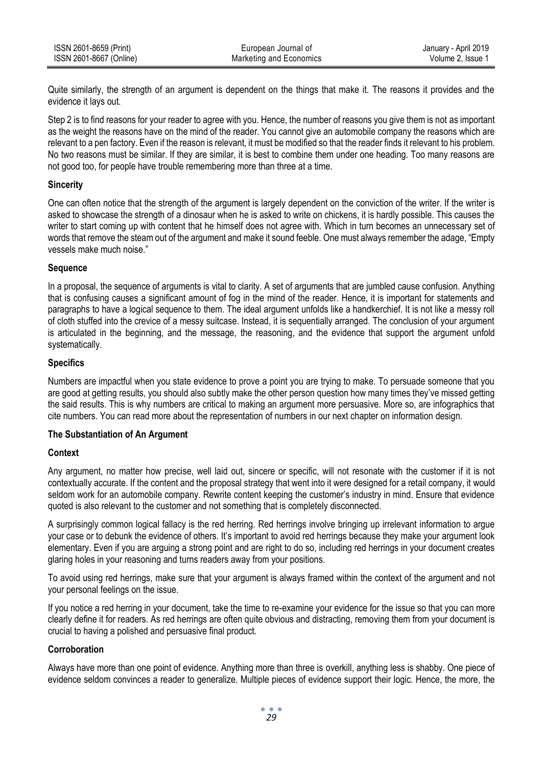| ISSN 2601-8659 (Print)  | European Journal of     | January - April 2019 |
|-------------------------|-------------------------|----------------------|
| ISSN 2601-8667 (Online) | Marketing and Economics | Volume 2. Issue 1    |

Quite similarly, the strength of an argument is dependent on the things that make it. The reasons it provides and the evidence it lays out.

Step 2 is to find reasons for your reader to agree with you. Hence, the number of reasons you give them is not as important as the weight the reasons have on the mind of the reader. You cannot give an automobile company the reasons which are relevant to a pen factory. Even if the reason is relevant, it must be modified so that the reader finds it relevant to his problem. No two reasons must be similar. If they are similar, it is best to combine them under one heading. Too many reasons are not good too, for people have trouble remembering more than three at a time.

## **Sincerity**

One can often notice that the strength of the argument is largely dependent on the conviction of the writer. If the writer is asked to showcase the strength of a dinosaur when he is asked to write on chickens, it is hardly possible. This causes the writer to start coming up with content that he himself does not agree with. Which in turn becomes an unnecessary set of words that remove the steam out of the argument and make it sound feeble. One must always remember the adage, "Empty vessels make much noise."

## **Sequence**

In a proposal, the sequence of arguments is vital to clarity. A set of arguments that are jumbled cause confusion. Anything that is confusing causes a significant amount of fog in the mind of the reader. Hence, it is important for statements and paragraphs to have a logical sequence to them. The ideal argument unfolds like a handkerchief. It is not like a messy roll of cloth stuffed into the crevice of a messy suitcase. Instead, it is sequentially arranged. The conclusion of your argument is articulated in the beginning, and the message, the reasoning, and the evidence that support the argument unfold systematically.

## **Specifics**

Numbers are impactful when you state evidence to prove a point you are trying to make. To persuade someone that you are good at getting results, you should also subtly make the other person question how many times they've missed getting the said results. This is why numbers are critical to making an argument more persuasive. More so, are infographics that cite numbers. You can read more about the representation of numbers in our next chapter on information design.

# **The Substantiation of An Argument**

# **Context**

Any argument, no matter how precise, well laid out, sincere or specific, will not resonate with the customer if it is not contextually accurate. If the content and the proposal strategy that went into it were designed for a retail company, it would seldom work for an automobile company. Rewrite content keeping the customer's industry in mind. Ensure that evidence quoted is also relevant to the customer and not something that is completely disconnected.

A surprisingly common logical fallacy is the red herring. Red herrings involve bringing up irrelevant information to argue your case or to debunk the evidence of others. It's important to avoid red herrings because they make your argument look elementary. Even if you are arguing a strong point and are right to do so, including red herrings in your document creates glaring holes in your reasoning and turns readers away from your positions.

To avoid using red herrings, make sure that your argument is always framed within the context of the argument and not your personal feelings on the issue.

If you notice a red herring in your document, take the time to re-examine your evidence for the issue so that you can more clearly define it for readers. As red herrings are often quite obvious and distracting, removing them from your document is crucial to having a polished and persuasive final product.

# **Corroboration**

Always have more than one point of evidence. Anything more than three is overkill, anything less is shabby. One piece of evidence seldom convinces a reader to generalize. Multiple pieces of evidence support their logic. Hence, the more, the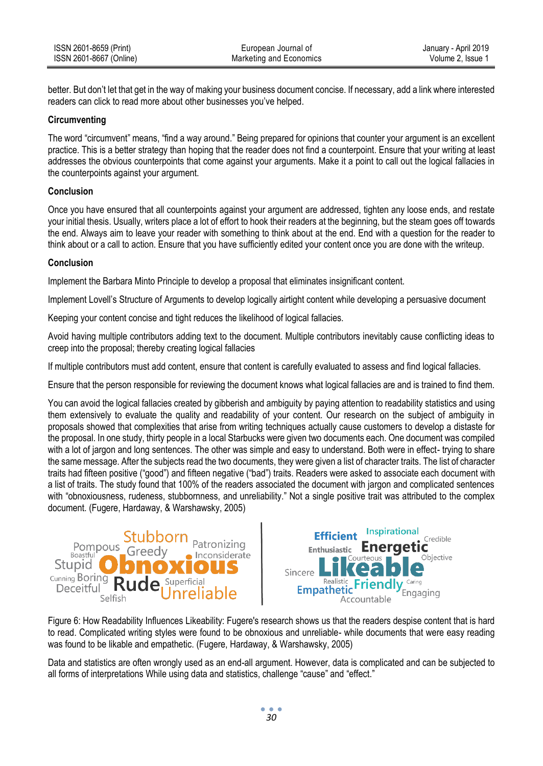| ISSN 2601-8659 (Print)  | European Journal of     | January - April 2019 |
|-------------------------|-------------------------|----------------------|
| ISSN 2601-8667 (Online) | Marketing and Economics | Volume 2. Issue 1    |

better. But don't let that get in the way of making your business document concise. If necessary, add a link where interested readers can click to read more about other businesses you've helped.

## **Circumventing**

The word "circumvent" means, "find a way around." Being prepared for opinions that counter your argument is an excellent practice. This is a better strategy than hoping that the reader does not find a counterpoint. Ensure that your writing at least addresses the obvious counterpoints that come against your arguments. Make it a point to call out the logical fallacies in the counterpoints against your argument.

## **Conclusion**

Once you have ensured that all counterpoints against your argument are addressed, tighten any loose ends, and restate your initial thesis. Usually, writers place a lot of effort to hook their readers at the beginning, but the steam goes off towards the end. Always aim to leave your reader with something to think about at the end. End with a question for the reader to think about or a call to action. Ensure that you have sufficiently edited your content once you are done with the writeup.

## **Conclusion**

Implement the Barbara Minto Principle to develop a proposal that eliminates insignificant content.

Implement Lovell's Structure of Arguments to develop logically airtight content while developing a persuasive document

Keeping your content concise and tight reduces the likelihood of logical fallacies.

Avoid having multiple contributors adding text to the document. Multiple contributors inevitably cause conflicting ideas to creep into the proposal; thereby creating logical fallacies

If multiple contributors must add content, ensure that content is carefully evaluated to assess and find logical fallacies.

Ensure that the person responsible for reviewing the document knows what logical fallacies are and is trained to find them.

You can avoid the logical fallacies created by gibberish and ambiguity by paying attention to readability statistics and using them extensively to evaluate the quality and readability of your content. Our research on the subject of ambiguity in proposals showed that complexities that arise from writing techniques actually cause customers to develop a distaste for the proposal. In one study, thirty people in a local Starbucks were given two documents each. One document was compiled with a lot of jargon and long sentences. The other was simple and easy to understand. Both were in effect- trying to share the same message. After the subjects read the two documents, they were given a list of character traits. The list of character traits had fifteen positive ("good") and fifteen negative ("bad") traits. Readers were asked to associate each document with a list of traits. The study found that 100% of the readers associated the document with jargon and complicated sentences with "obnoxiousness, rudeness, stubbornness, and unreliability." Not a single positive trait was attributed to the complex document. (Fugere, Hardaway, & Warshawsky, 2005)





Figure 6: How Readability Influences Likeability: Fugere's research shows us that the readers despise content that is hard to read. Complicated writing styles were found to be obnoxious and unreliable- while documents that were easy reading was found to be likable and empathetic. (Fugere, Hardaway, & Warshawsky, 2005)

Data and statistics are often wrongly used as an end-all argument. However, data is complicated and can be subjected to all forms of interpretations While using data and statistics, challenge "cause" and "effect."